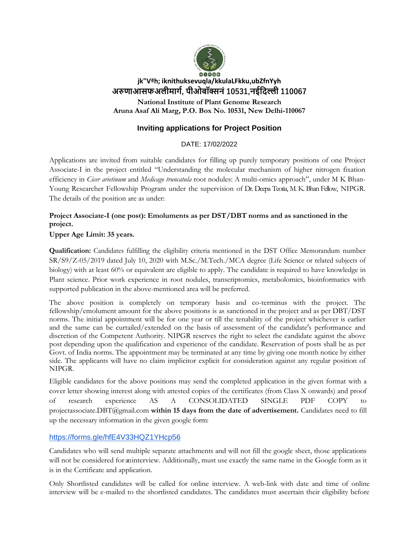

# **jk"Vªh; iknithuksevuqla/kkulaLFkku,ubZfnYyh अरुणाआसफअलीमार्ग, पीओबॉक्सनं 10531,नईदिल्ली 110067**

**National Institute of Plant Genome Research Aruna Asaf Ali Marg, P.O. Box No. 10531, New Delhi-110067**

## **Inviting applications for Project Position**

## DATE: 17/02/2022

Applications are invited from suitable candidates for filling up purely temporary positions of one Project Associate-I in the project entitled "Understanding the molecular mechanism of higher nitrogen fixation efficiency in *Cicer arietinum* and *Medicago truncatula* root nodules: A multi-omics approach", under M K Bhan-Young Researcher Fellowship Program under the supervision of Dr. Deepa Teotia, M. K. Bhan Fellow, NIPGR. The details of the position are as under:

## **Project Associate-I (one post): Emoluments as per DST/DBT norms and as sanctioned in the project.**

## **Upper Age Limit: 35 years.**

**Qualification:** Candidates fulfilling the eligibility criteria mentioned in the DST Office Memorandum number SR/S9/Z-05/2019 dated July 10, 2020 with M.Sc./M.Tech./MCA degree (Life Science or related subjects of biology) with at least 60% or equivalent are eligible to apply. The candidate is required to have knowledge in Plant science. Prior work experience in root nodules, transcriptomics, metabolomics, bioinformatics with supported publication in the above-mentioned area will be preferred.

The above position is completely on temporary basis and co-terminus with the project. The fellowship/emolument amount for the above positions is as sanctioned in the project and as per DBT/DST norms. The initial appointment will be for one year or till the tenability of the project whichever is earlier and the same can be curtailed/extended on the basis of assessment of the candidate's performance and discretion of the Competent Authority. NIPGR reserves the right to select the candidate against the above post depending upon the qualification and experience of the candidate. Reservation of posts shall be as per Govt. of India norms. The appointment may be terminated at any time by giving one month notice by either side. The applicants will have no claim implicitor explicit for consideration against any regular position of NIPGR.

Eligible candidates for the above positions may send the completed application in the given format with a cover letter showing interest along with attested copies of the certificates (from Class X onwards) and proof of research experience AS A CONSOLIDATED SINGLE PDF COPY to [projectassociate.DBT@gmail.com](mailto:projectassociate.DBT@gmail.com) **within 15 days from the date of advertisement.** Candidates need to fill up the necessary information in the given google form:

## <https://forms.gle/hfE4V33HQZ1YHcp56>

Candidates who will send multiple separate attachments and will not fill the google sheet, those applications will not be considered for an interview. Additionally, must use exactly the same name in the Google form as it is in the Certificate and application.

Only Shortlisted candidates will be called for online interview. A web-link with date and time of online interview will be e-mailed to the shortlisted candidates. The candidates must ascertain their eligibility before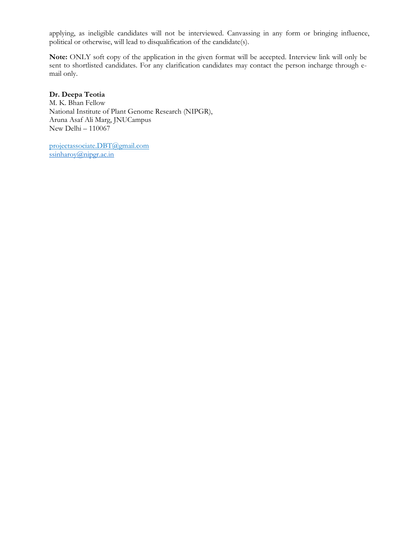applying, as ineligible candidates will not be interviewed. Canvassing in any form or bringing influence, political or otherwise, will lead to disqualification of the candidate(s).

**Note:** ONLY soft copy of the application in the given format will be accepted. Interview link will only be sent to shortlisted candidates. For any clarification candidates may contact the person incharge through email only.

### **Dr. Deepa Teotia**

M. K. Bhan Fellow National Institute of Plant Genome Research (NIPGR), Aruna Asaf Ali Marg, JNUCampus New Delhi – 110067

[projectassociate.DBT@gmail.com](mailto:projectassociate.DBT@gmail.com)  $ssinharov(a)$ nipgr.ac.in